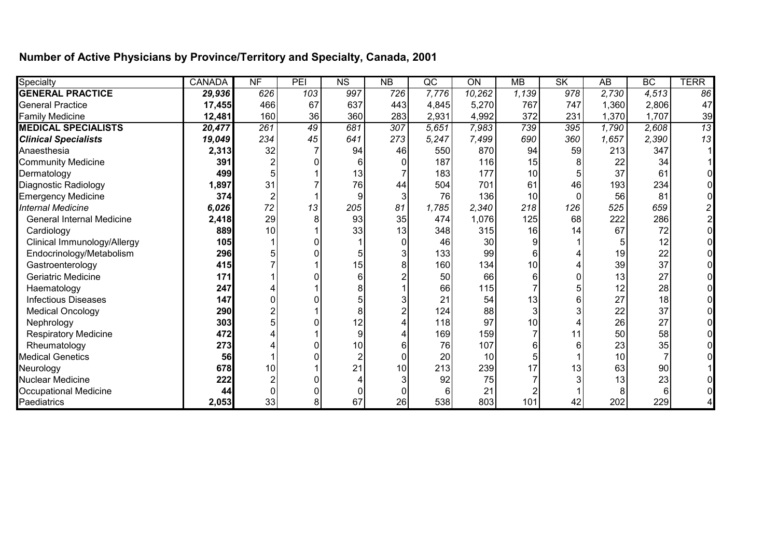## **Number of Active Physicians by Province/Territory and Specialty, Canada, 2001**

| Specialty                        | <b>CANADA</b> | NF               | PEI | $\overline{\text{NS}}$ | NB               | $\overline{\text{QC}}$ | ON              | <b>MB</b> | SK  | $\overline{AB}$ | BC              | <b>TERR</b> |
|----------------------------------|---------------|------------------|-----|------------------------|------------------|------------------------|-----------------|-----------|-----|-----------------|-----------------|-------------|
| <b>GENERAL PRACTICE</b>          | 29,936        | 626              | 103 | 997                    | 726              | 7,776                  | 10,262          | 1,139     | 978 | 2.730           | 4,513           | 86          |
| <b>General Practice</b>          | 17,455        | 466              | 67  | 637                    | 443              | 4,845                  | 5,270           | 767       | 747 | 1,360           | 2,806           | 47          |
| <b>Family Medicine</b>           | 12,481        | 160              | 36  | 360                    | 283              | 2,931                  | 4,992           | 372       | 231 | 1,370           | 1,707           | 39          |
| <b>MEDICAL SPECIALISTS</b>       | 20,477        | $\overline{261}$ | 49  | 681                    | $\overline{307}$ | 5,651                  | 7,983           | 739       | 395 | 1,790           | 2,608           | 13          |
| <b>Clinical Specialists</b>      | 19,049        | 234              | 45  | 641                    | 273              | 5,247                  | 7,499           | 690       | 360 | 1,657           | 2,390           | 13          |
| Anaesthesia                      | 2,313         | 32               |     | 94                     | 46               | 550                    | 870             | 94        | 59  | 213             | 347             |             |
| <b>Community Medicine</b>        | 391           |                  |     |                        |                  | 187                    | 116             | 15        | 8   | 22              | 34              |             |
| Dermatology                      | 499           |                  |     | 13                     |                  | 183                    | 177             | 10        |     | 37              | 61              |             |
| Diagnostic Radiology             | 1,897         | 31               |     | 76                     | 44               | 504                    | 701             | 61        | 46  | 193             | 234             |             |
| <b>Emergency Medicine</b>        | 374           |                  |     |                        |                  | 76                     | 136             | 10        | 0   | 56              | 81              |             |
| <b>Internal Medicine</b>         | 6,026         | 72               | 13  | 205                    | 81               | 1,785                  | 2,340           | 218       | 126 | 525             | 659             |             |
| <b>General Internal Medicine</b> | 2,418         | 29               | 8   | 93                     | 35               | 474                    | 1,076           | 125       | 68  | 222             | 286             |             |
| Cardiology                       | 889           | 10 <sup>1</sup>  |     | 33                     | 13               | 348                    | 315             | 16        | 14  | 67              | 72              |             |
| Clinical Immunology/Allergy      | 105           |                  |     |                        |                  | 46                     | 30              |           |     |                 | 12              |             |
| Endocrinology/Metabolism         | 296           |                  |     |                        |                  | 133                    | 99              |           |     | 19              | 22              |             |
| Gastroenterology                 | 415           |                  |     | 15                     |                  | 160                    | 134             | 10        |     | 39              | 37              |             |
| <b>Geriatric Medicine</b>        | 171           |                  |     |                        |                  | 50                     | 66              |           |     | 13              | 27              |             |
| Haematology                      | 247           |                  |     |                        |                  | 66                     | 115             |           |     | 12              | 28              |             |
| <b>Infectious Diseases</b>       | 147           |                  |     |                        |                  | 21                     | 54              | 13        |     | 27              | 18              |             |
| <b>Medical Oncology</b>          | 290           |                  |     |                        |                  | 124                    | 88              |           |     | 22              | 37              |             |
| Nephrology                       | 303           |                  |     | 12                     |                  | 118                    | 97              | 10        |     | 26              | 27              |             |
| <b>Respiratory Medicine</b>      | 472           |                  |     | 9                      |                  | 169                    | 159             |           | 11  | 50              | 58              |             |
| Rheumatology                     | 273           |                  |     | 10                     |                  | 76                     | 107             |           | 6   | 23              | 35              |             |
| <b>Medical Genetics</b>          | 56            |                  |     |                        |                  | 20                     | 10 <sub>1</sub> |           |     | 10              |                 |             |
| Neurology                        | 678           | 10               |     | 21                     | 10               | 213                    | 239             | 17        | 13  | 63              | 90 <sub>0</sub> |             |
| <b>Nuclear Medicine</b>          | 222           |                  |     |                        |                  | 92                     | 75              |           |     | 13              | 23              |             |
| <b>Occupational Medicine</b>     | 44            |                  |     |                        |                  | 6                      | 21              |           |     |                 | 6               |             |
| Paediatrics                      | 2,053         | 33               | 8   | 67                     | 26               | 538                    | 803             | 101       | 42  | 202             | 229             |             |